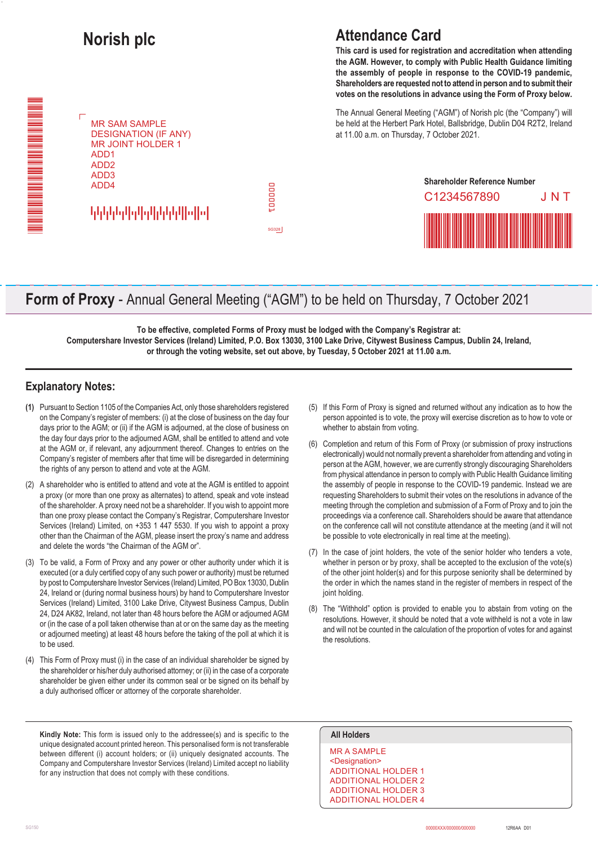

## **Attendance Card**

**This card is used for registration and accreditation when attending the AGM. However, to comply with Public Health Guidance limiting the assembly of people in response to the COVID-19 pandemic, Shareholders are requested not to attend in person and to submit their votes on the resolutions in advance using the Form of Proxy below.**

The Annual General Meeting ("AGM") of Norish plc (the "Company") will be held at the Herbert Park Hotel, Ballsbridge, Dublin D04 R2T2, Ireland at 11.00 a.m. on Thursday, 7 October 2021.



## **Form of Proxy** - Annual General Meeting ("AGM") to be held on Thursday, 7 October 2021

**To be effective, completed Forms of Proxy must be lodged with the Company's Registrar at: Computershare Investor Services (Ireland) Limited, P.O. Box 13030, 3100 Lake Drive, Citywest Business Campus, Dublin 24, Ireland, or through the voting website, set out above, by Tuesday, 5 October 2021 at 11.00 a.m.**

### **Explanatory Notes:**

- **(1)** Pursuant to Section 1105 of the Companies Act, only those shareholders registered on the Company's register of members: (i) at the close of business on the day four days prior to the AGM; or (ii) if the AGM is adjourned, at the close of business on the day four days prior to the adjourned AGM, shall be entitled to attend and vote at the AGM or, if relevant, any adjournment thereof. Changes to entries on the Company's register of members after that time will be disregarded in determining the rights of any person to attend and vote at the AGM.
- (2) A shareholder who is entitled to attend and vote at the AGM is entitled to appoint a proxy (or more than one proxy as alternates) to attend, speak and vote instead of the shareholder. A proxy need not be a shareholder. If you wish to appoint more than one proxy please contact the Company's Registrar, Computershare Investor Services (Ireland) Limited, on +353 1 447 5530. If you wish to appoint a proxy other than the Chairman of the AGM, please insert the proxy's name and address and delete the words "the Chairman of the AGM or".
- (3) To be valid, a Form of Proxy and any power or other authority under which it is executed (or a duly certified copy of any such power or authority) must be returned by post to Computershare Investor Services (Ireland) Limited, PO Box 13030, Dublin 24, Ireland or (during normal business hours) by hand to Computershare Investor Services (Ireland) Limited, 3100 Lake Drive, Citywest Business Campus, Dublin 24, D24 AK82, Ireland, not later than 48 hours before the AGM or adjourned AGM or (in the case of a poll taken otherwise than at or on the same day as the meeting or adjourned meeting) at least 48 hours before the taking of the poll at which it is to be used.
- (4) This Form of Proxy must (i) in the case of an individual shareholder be signed by the shareholder or his/her duly authorised attorney; or (ii) in the case of a corporate shareholder be given either under its common seal or be signed on its behalf by a duly authorised officer or attorney of the corporate shareholder.

**Kindly Note:** This form is issued only to the addressee(s) and is specific to the **All Holders** unique designated account printed hereon. This personalised form is not transferable between different (i) account holders; or (ii) uniquely designated accounts. The Company and Computershare Investor Services (Ireland) Limited accept no liability for any instruction that does not comply with these conditions.

- (5) If this Form of Proxy is signed and returned without any indication as to how the person appointed is to vote, the proxy will exercise discretion as to how to vote or whether to abstain from voting.
- (6) Completion and return of this Form of Proxy (or submission of proxy instructions electronically) would not normally prevent a shareholder from attending and voting in person at the AGM, however, we are currently strongly discouraging Shareholders from physical attendance in person to comply with Public Health Guidance limiting the assembly of people in response to the COVID-19 pandemic. Instead we are requesting Shareholders to submit their votes on the resolutions in advance of the meeting through the completion and submission of a Form of Proxy and to join the proceedings via a conference call. Shareholders should be aware that attendance on the conference call will not constitute attendance at the meeting (and it will not be possible to vote electronically in real time at the meeting).
- (7) In the case of joint holders, the vote of the senior holder who tenders a vote, whether in person or by proxy, shall be accepted to the exclusion of the vote(s) of the other joint holder(s) and for this purpose seniority shall be determined by the order in which the names stand in the register of members in respect of the joint holding.
- (8) The "Withhold" option is provided to enable you to abstain from voting on the resolutions. However, it should be noted that a vote withheld is not a vote in law and will not be counted in the calculation of the proportion of votes for and against the resolutions.

MR A SAMPLE <Designation> ADDITIONAL HOLDER 1 ADDITIONAL HOLDER 2 ADDITIONAL HOLDER 3 ADDITIONAL HOLDER 4